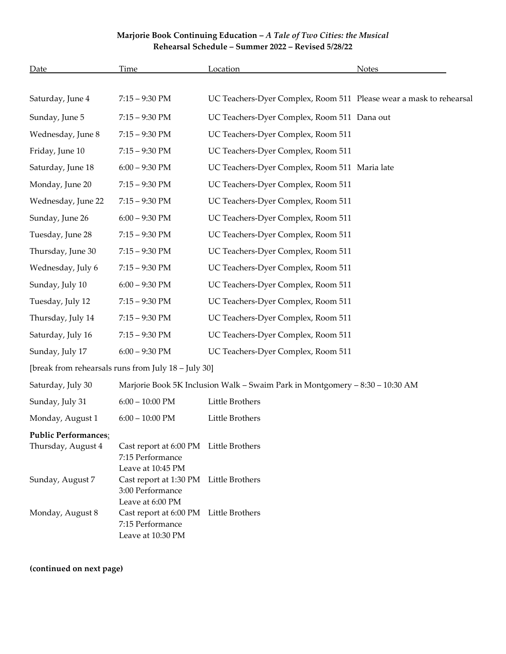## **Marjorie Book Continuing Education –** *A Tale of Two Cities: the Musical* **Rehearsal Schedule – Summer 2022 – Revised 5/28/22**

| <b>Date</b>                                         | Time                                                                            | Location                                                           | <b>Notes</b> |  |
|-----------------------------------------------------|---------------------------------------------------------------------------------|--------------------------------------------------------------------|--------------|--|
|                                                     |                                                                                 |                                                                    |              |  |
| Saturday, June 4                                    | $7:15 - 9:30$ PM                                                                | UC Teachers-Dyer Complex, Room 511 Please wear a mask to rehearsal |              |  |
| Sunday, June 5                                      | $7:15 - 9:30$ PM                                                                | UC Teachers-Dyer Complex, Room 511 Dana out                        |              |  |
| Wednesday, June 8                                   | $7:15 - 9:30$ PM                                                                | UC Teachers-Dyer Complex, Room 511                                 |              |  |
| Friday, June 10                                     | $7:15 - 9:30$ PM                                                                | UC Teachers-Dyer Complex, Room 511                                 |              |  |
| Saturday, June 18                                   | $6:00 - 9:30$ PM                                                                | UC Teachers-Dyer Complex, Room 511 Maria late                      |              |  |
| Monday, June 20                                     | $7:15 - 9:30$ PM                                                                | UC Teachers-Dyer Complex, Room 511                                 |              |  |
| Wednesday, June 22                                  | $7:15 - 9:30$ PM                                                                | UC Teachers-Dyer Complex, Room 511                                 |              |  |
| Sunday, June 26                                     | $6:00 - 9:30$ PM                                                                | UC Teachers-Dyer Complex, Room 511                                 |              |  |
| Tuesday, June 28                                    | $7:15 - 9:30$ PM                                                                | UC Teachers-Dyer Complex, Room 511                                 |              |  |
| Thursday, June 30                                   | $7:15 - 9:30$ PM                                                                | UC Teachers-Dyer Complex, Room 511                                 |              |  |
| Wednesday, July 6                                   | $7:15 - 9:30$ PM                                                                | UC Teachers-Dyer Complex, Room 511                                 |              |  |
| Sunday, July 10                                     | $6:00 - 9:30$ PM                                                                | UC Teachers-Dyer Complex, Room 511                                 |              |  |
| Tuesday, July 12                                    | $7:15 - 9:30$ PM                                                                | UC Teachers-Dyer Complex, Room 511                                 |              |  |
| Thursday, July 14                                   | $7:15 - 9:30$ PM                                                                | UC Teachers-Dyer Complex, Room 511                                 |              |  |
| Saturday, July 16                                   | $7:15 - 9:30$ PM                                                                | UC Teachers-Dyer Complex, Room 511                                 |              |  |
| Sunday, July 17                                     | $6:00 - 9:30$ PM                                                                | UC Teachers-Dyer Complex, Room 511                                 |              |  |
| [break from rehearsals runs from July 18 - July 30] |                                                                                 |                                                                    |              |  |
| Saturday, July 30                                   | Marjorie Book 5K Inclusion Walk - Swaim Park in Montgomery - 8:30 - 10:30 AM    |                                                                    |              |  |
| Sunday, July 31                                     | $6:00 - 10:00$ PM                                                               | Little Brothers                                                    |              |  |
| Monday, August 1                                    | $6:00 - 10:00$ PM                                                               | Little Brothers                                                    |              |  |
| <b>Public Performances:</b>                         |                                                                                 |                                                                    |              |  |
| Thursday, August 4                                  | Cast report at 6:00 PM Little Brothers<br>7:15 Performance<br>Leave at 10:45 PM |                                                                    |              |  |
| Sunday, August 7                                    | Cast report at 1:30 PM<br>3:00 Performance<br>Leave at 6:00 PM                  | Little Brothers                                                    |              |  |
| Monday, August 8                                    | Cast report at 6:00 PM Little Brothers<br>7:15 Performance<br>Leave at 10:30 PM |                                                                    |              |  |

**(continued on next page)**